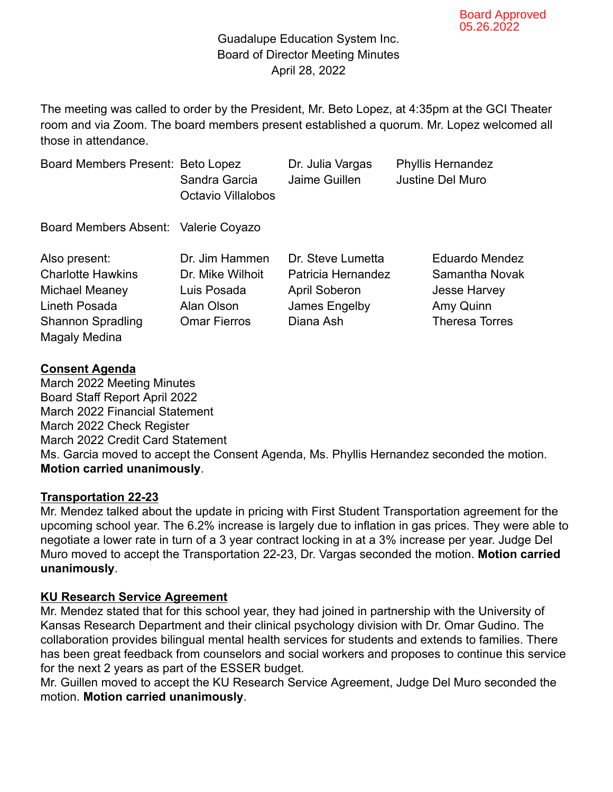#### Guadalupe Education System Inc. Board of Director Meeting Minutes April 28, 2022

The meeting was called to order by the President, Mr. Beto Lopez, at 4:35pm at the GCI Theater room and via Zoom. The board members present established a quorum. Mr. Lopez welcomed all those in attendance.

| Board Members Present: Beto Lopez<br>Sandra Garcia<br><b>Octavio Villalobos</b>        | Dr. Julia Vargas<br>Jaime Guillen                                                             | <b>Phyllis Hernandez</b><br><b>Justine Del Muro</b>                                                  |
|----------------------------------------------------------------------------------------|-----------------------------------------------------------------------------------------------|------------------------------------------------------------------------------------------------------|
| Board Members Absent: Valerie Coyazo                                                   |                                                                                               |                                                                                                      |
| Dr. Jim Hammen<br>Dr. Mike Wilhoit<br>Luis Posada<br>Alan Olson<br><b>Omar Fierros</b> | Dr. Steve Lumetta<br>Patricia Hernandez<br><b>April Soberon</b><br>James Engelby<br>Diana Ash | <b>Eduardo Mendez</b><br>Samantha Novak<br><b>Jesse Harvey</b><br>Amy Quinn<br><b>Theresa Torres</b> |
|                                                                                        |                                                                                               |                                                                                                      |

#### **Consent Agenda**

March 2022 Meeting Minutes Board Staff Report April 2022 March 2022 Financial Statement March 2022 Check Register March 2022 Credit Card Statement Ms. Garcia moved to accept the Consent Agenda, Ms. Phyllis Hernandez seconded the motion. **Motion carried unanimously**.

#### **Transportation 22-23**

Mr. Mendez talked about the update in pricing with First Student Transportation agreement for the upcoming school year. The 6.2% increase is largely due to inflation in gas prices. They were able to negotiate a lower rate in turn of a 3 year contract locking in at a 3% increase per year. Judge Del Muro moved to accept the Transportation 22-23, Dr. Vargas seconded the motion. **Motion carried unanimously**.

#### **KU Research Service Agreement**

Mr. Mendez stated that for this school year, they had joined in partnership with the University of Kansas Research Department and their clinical psychology division with Dr. Omar Gudino. The collaboration provides bilingual mental health services for students and extends to families. There has been great feedback from counselors and social workers and proposes to continue this service for the next 2 years as part of the ESSER budget.

Mr. Guillen moved to accept the KU Research Service Agreement, Judge Del Muro seconded the motion. **Motion carried unanimously**.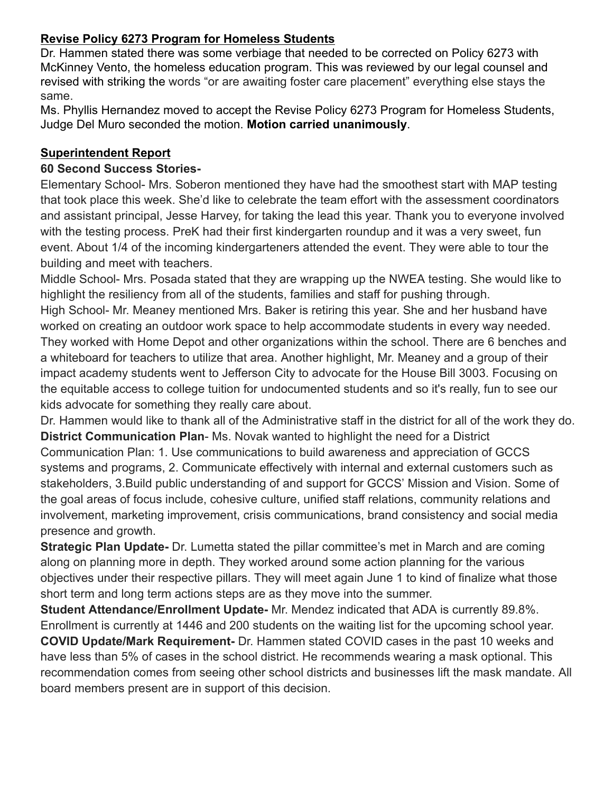### **Revise Policy 6273 Program for Homeless Students**

Dr. Hammen stated there was some verbiage that needed to be corrected on Policy 6273 with McKinney Vento, the homeless education program. This was reviewed by our legal counsel and revised with striking the words "or are awaiting foster care placement" everything else stays the same.

Ms. Phyllis Hernandez moved to accept the Revise Policy 6273 Program for Homeless Students, Judge Del Muro seconded the motion. **Motion carried unanimously**.

### **Superintendent Report**

#### **60 Second Success Stories-**

Elementary School- Mrs. Soberon mentioned they have had the smoothest start with MAP testing that took place this week. She'd like to celebrate the team effort with the assessment coordinators and assistant principal, Jesse Harvey, for taking the lead this year. Thank you to everyone involved with the testing process. PreK had their first kindergarten roundup and it was a very sweet, fun event. About 1/4 of the incoming kindergarteners attended the event. They were able to tour the building and meet with teachers.

Middle School- Mrs. Posada stated that they are wrapping up the NWEA testing. She would like to highlight the resiliency from all of the students, families and staff for pushing through. High School- Mr. Meaney mentioned Mrs. Baker is retiring this year. She and her husband have worked on creating an outdoor work space to help accommodate students in every way needed. They worked with Home Depot and other organizations within the school. There are 6 benches and a whiteboard for teachers to utilize that area. Another highlight, Mr. Meaney and a group of their impact academy students went to Jefferson City to advocate for the House Bill 3003. Focusing on the equitable access to college tuition for undocumented students and so it's really, fun to see our kids advocate for something they really care about.

Dr. Hammen would like to thank all of the Administrative staff in the district for all of the work they do. **District Communication Plan**- Ms. Novak wanted to highlight the need for a District Communication Plan: 1. Use communications to build awareness and appreciation of GCCS systems and programs, 2. Communicate effectively with internal and external customers such as stakeholders, 3.Build public understanding of and support for GCCS' Mission and Vision. Some of the goal areas of focus include, cohesive culture, unified staff relations, community relations and involvement, marketing improvement, crisis communications, brand consistency and social media presence and growth.

**Strategic Plan Update-** Dr. Lumetta stated the pillar committee's met in March and are coming along on planning more in depth. They worked around some action planning for the various objectives under their respective pillars. They will meet again June 1 to kind of finalize what those short term and long term actions steps are as they move into the summer.

**Student Attendance/Enrollment Update-** Mr. Mendez indicated that ADA is currently 89.8%. Enrollment is currently at 1446 and 200 students on the waiting list for the upcoming school year. **COVID Update/Mark Requirement-** Dr. Hammen stated COVID cases in the past 10 weeks and have less than 5% of cases in the school district. He recommends wearing a mask optional. This recommendation comes from seeing other school districts and businesses lift the mask mandate. All board members present are in support of this decision.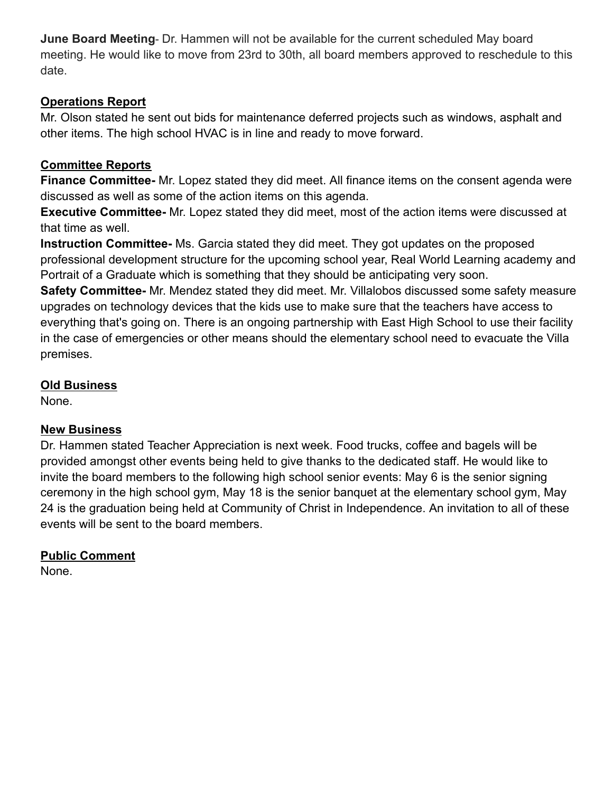**June Board Meeting**- Dr. Hammen will not be available for the current scheduled May board meeting. He would like to move from 23rd to 30th, all board members approved to reschedule to this date.

### **Operations Report**

Mr. Olson stated he sent out bids for maintenance deferred projects such as windows, asphalt and other items. The high school HVAC is in line and ready to move forward.

## **Committee Reports**

**Finance Committee-** Mr. Lopez stated they did meet. All finance items on the consent agenda were discussed as well as some of the action items on this agenda.

**Executive Committee-** Mr. Lopez stated they did meet, most of the action items were discussed at that time as well.

**Instruction Committee-** Ms. Garcia stated they did meet. They got updates on the proposed professional development structure for the upcoming school year, Real World Learning academy and Portrait of a Graduate which is something that they should be anticipating very soon.

**Safety Committee-** Mr. Mendez stated they did meet. Mr. Villalobos discussed some safety measure upgrades on technology devices that the kids use to make sure that the teachers have access to everything that's going on. There is an ongoing partnership with East High School to use their facility in the case of emergencies or other means should the elementary school need to evacuate the Villa premises.

### **Old Business**

None.

### **New Business**

Dr. Hammen stated Teacher Appreciation is next week. Food trucks, coffee and bagels will be provided amongst other events being held to give thanks to the dedicated staff. He would like to invite the board members to the following high school senior events: May 6 is the senior signing ceremony in the high school gym, May 18 is the senior banquet at the elementary school gym, May 24 is the graduation being held at Community of Christ in Independence. An invitation to all of these events will be sent to the board members.

# **Public Comment**

None.